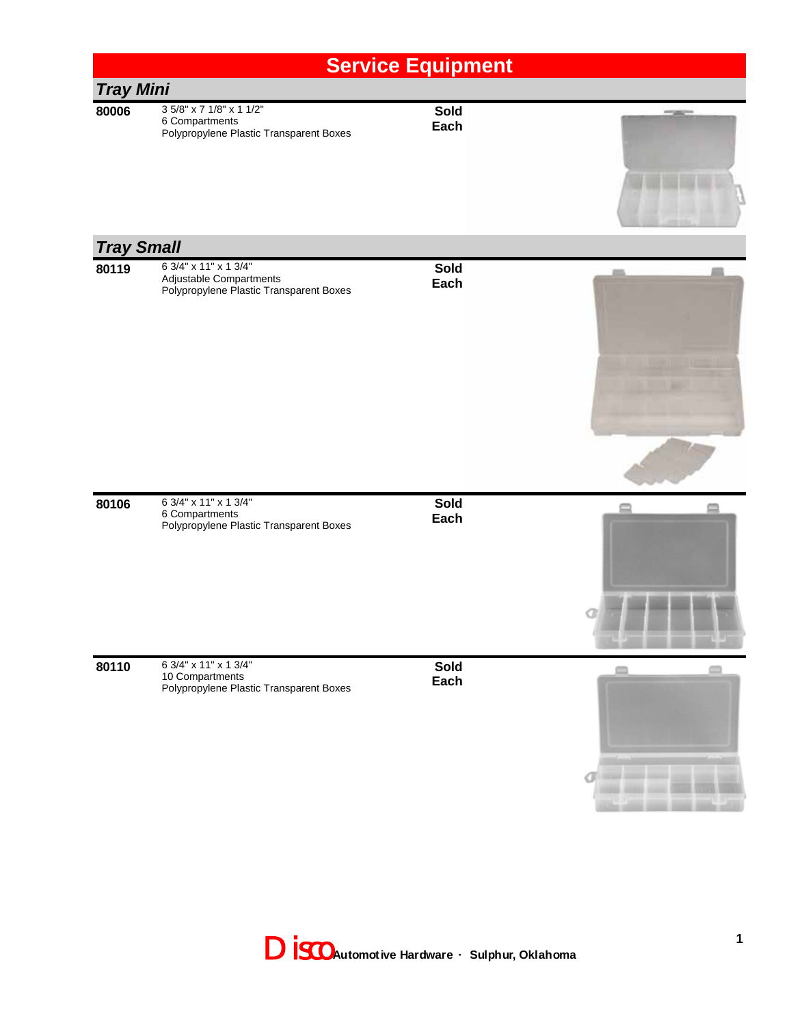## **Service Equipment** *Tray Mini* **80006** 3 5/8" x 7 1/8" x 1 1/2" **Sold** 6 Compartments **Each** Polypropylene Plastic Transparent Boxes *Tray Small* **Sold 80119** 6 3/4" x 11" x 1 3/4" Adjustable Compartments **Each** Polypropylene Plastic Transparent Boxes **80106** 6 3/4" x 11" x 1 3/4" **Sold** 6 Compartments **Each** Polypropylene Plastic Transparent Boxes **80110** 6 3/4" x 11" x 1 3/4" **Sold** m 10 Compartments **Each** Polypropylene Plastic Transparent Boxes

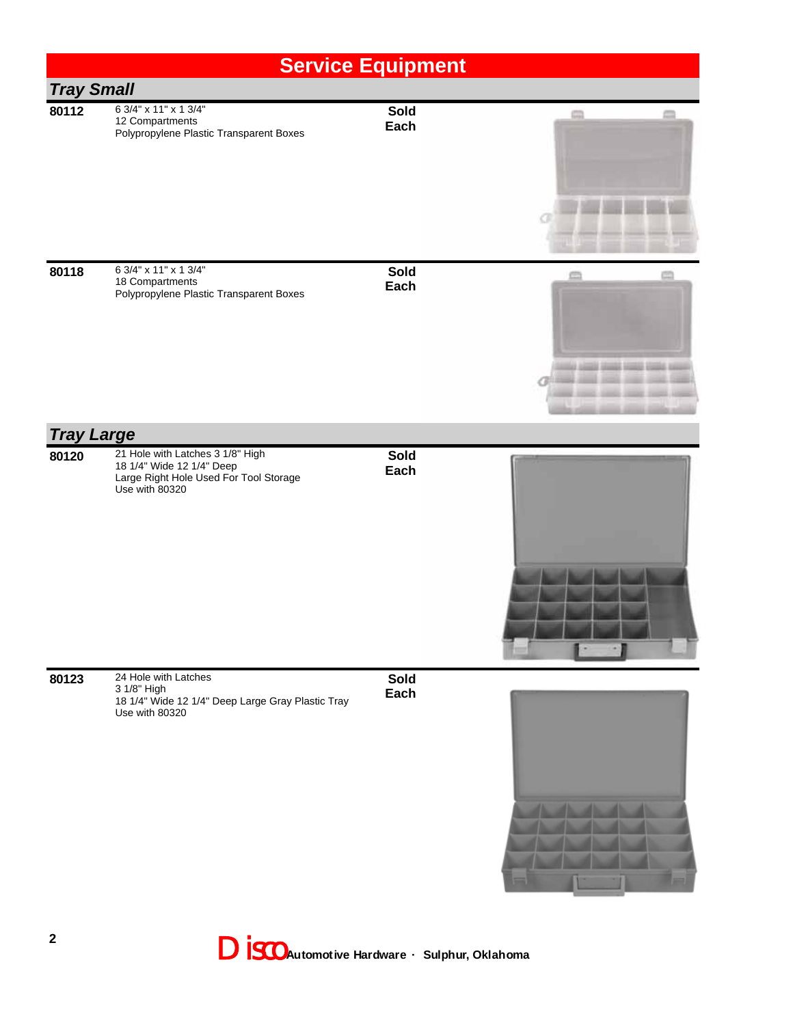|                   |                                                                                                                           | <b>Service Equipment</b> |                              |
|-------------------|---------------------------------------------------------------------------------------------------------------------------|--------------------------|------------------------------|
| <b>Tray Small</b> |                                                                                                                           |                          |                              |
| 80112             | 6 3/4" x 11" x 1 3/4"<br>12 Compartments<br>Polypropylene Plastic Transparent Boxes                                       | Sold<br>Each             |                              |
| 80118             | 6 3/4" x 11" x 1 3/4"<br>18 Compartments<br>Polypropylene Plastic Transparent Boxes                                       | Sold<br>Each             | <b>All Death week states</b> |
| <b>Tray Large</b> |                                                                                                                           |                          |                              |
| 80120             | 21 Hole with Latches 3 1/8" High<br>18 1/4" Wide 12 1/4" Deep<br>Large Right Hole Used For Tool Storage<br>Use with 80320 | <b>Sold</b><br>Each      |                              |
| 80123             | 24 Hole with Latches<br>3 1/8" High<br>18 1/4" Wide 12 1/4" Deep Large Gray Plastic Tray<br>Use with 80320                | <b>Sold</b><br>Each      |                              |

Disco **Automotive Hardware · Sulphur, Oklahoma**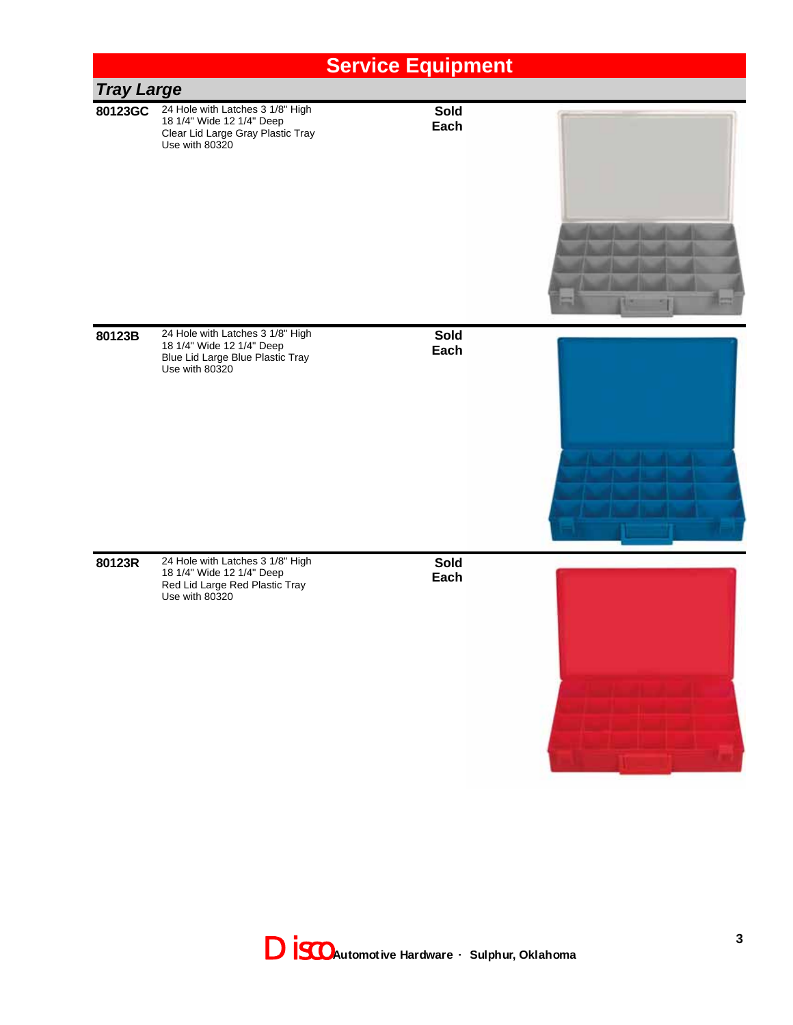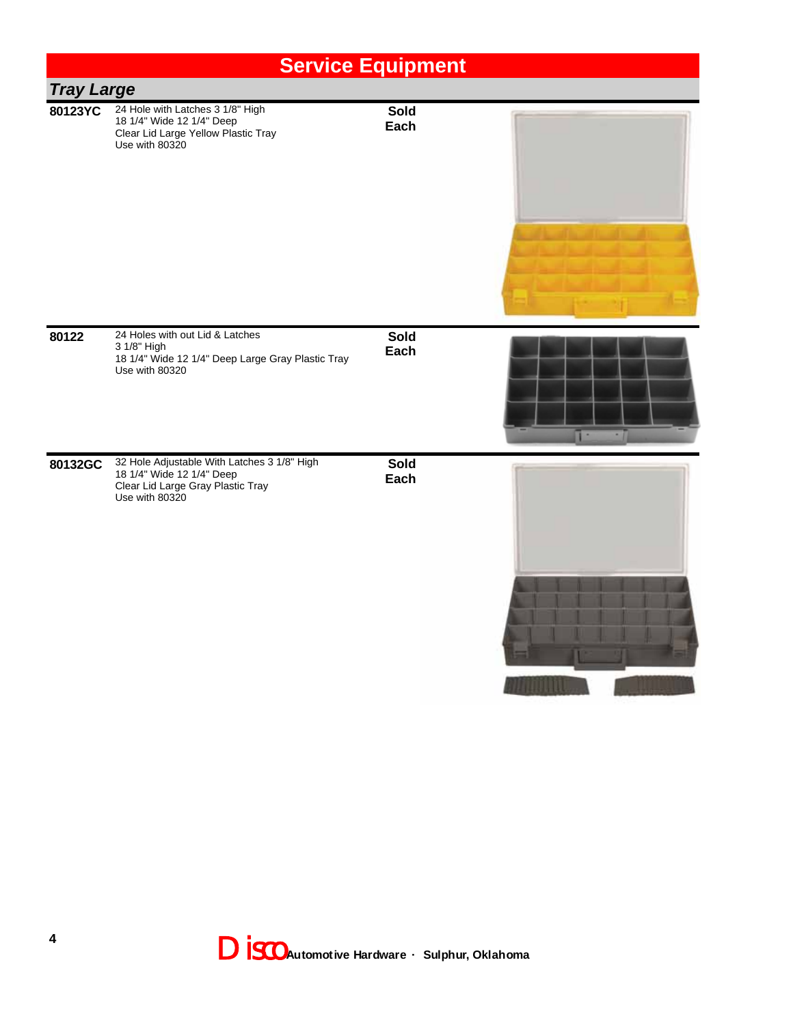|                   |                                                                                                                                 | <b>Service Equipment</b> |        |
|-------------------|---------------------------------------------------------------------------------------------------------------------------------|--------------------------|--------|
| <b>Tray Large</b> |                                                                                                                                 |                          |        |
| 80123YC           | 24 Hole with Latches 3 1/8" High<br>18 1/4" Wide 12 1/4" Deep<br>Clear Lid Large Yellow Plastic Tray<br>Use with 80320          | <b>Sold</b><br>Each      |        |
| 80122             | 24 Holes with out Lid & Latches<br>3 1/8" High<br>18 1/4" Wide 12 1/4" Deep Large Gray Plastic Tray<br>Use with 80320           | <b>Sold</b><br>Each      | ٠<br>۰ |
| 80132GC           | 32 Hole Adjustable With Latches 3 1/8" High<br>18 1/4" Wide 12 1/4" Deep<br>Clear Lid Large Gray Plastic Tray<br>Use with 80320 | <b>Sold</b><br>Each      |        |

**All Library** 

<u>the community of the second se</u>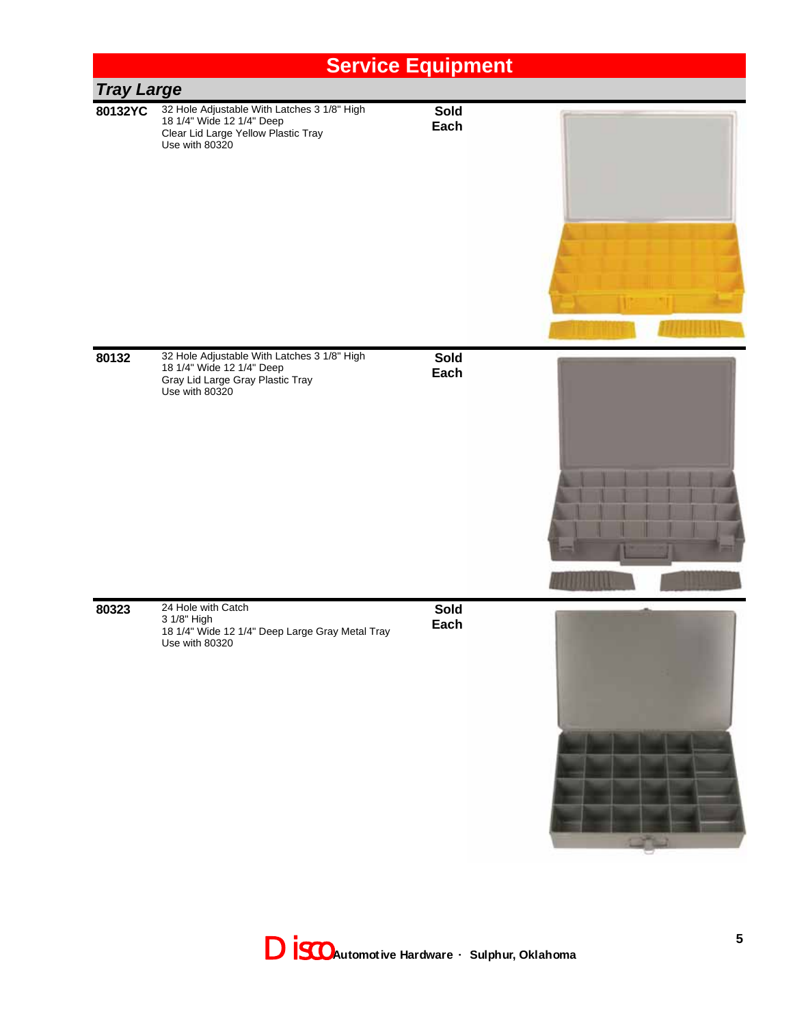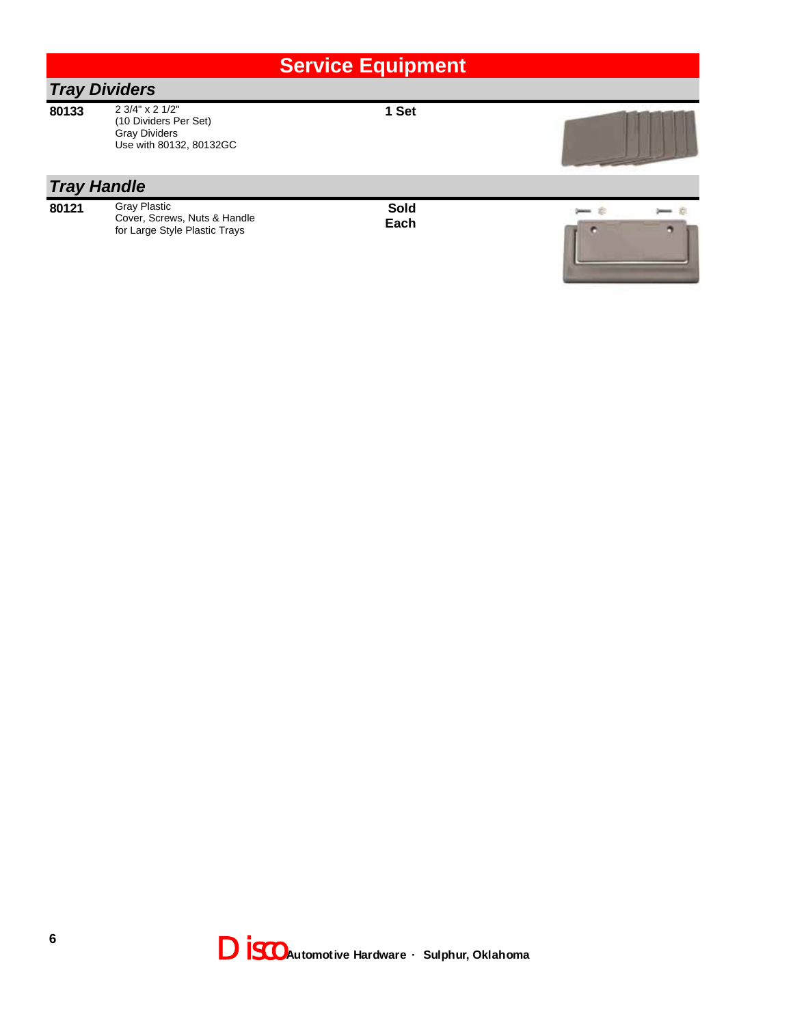|       |                                                                                             | <b>Service Equipment</b> |  |
|-------|---------------------------------------------------------------------------------------------|--------------------------|--|
|       | <b>Tray Dividers</b>                                                                        |                          |  |
| 80133 | 2 3/4" x 2 1/2"<br>(10 Dividers Per Set)<br><b>Gray Dividers</b><br>Use with 80132, 80132GC | 1 Set                    |  |
|       | <b>Tray Handle</b>                                                                          |                          |  |
| 80121 | <b>Gray Plastic</b><br>Cover, Screws, Nuts & Handle<br>for Large Style Plastic Trays        | Sold<br>Each             |  |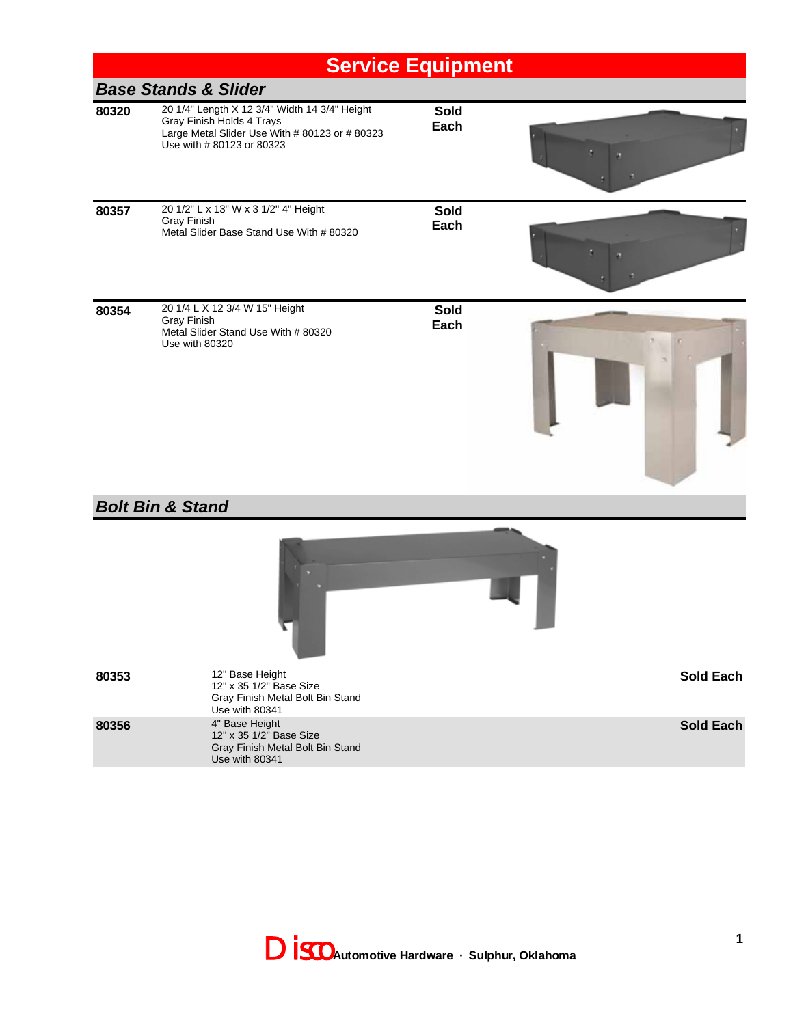|       | <b>Base Stands &amp; Slider</b>                                                                                                                           |                     |           |
|-------|-----------------------------------------------------------------------------------------------------------------------------------------------------------|---------------------|-----------|
| 80320 | 20 1/4" Length X 12 3/4" Width 14 3/4" Height<br>Gray Finish Holds 4 Trays<br>Large Metal Slider Use With # 80123 or # 80323<br>Use with # 80123 or 80323 | <b>Sold</b><br>Each |           |
| 80357 | 20 1/2" L x 13" W x 3 1/2" 4" Height<br><b>Gray Finish</b><br>Metal Slider Base Stand Use With # 80320                                                    | Sold<br>Each        |           |
| 80354 | 20 1/4 L X 12 3/4 W 15" Height<br><b>Gray Finish</b><br>Metal Slider Stand Use With # 80320<br>Use with 80320                                             | <b>Sold</b><br>Each |           |
|       | <b>Bolt Bin &amp; Stand</b>                                                                                                                               |                     |           |
|       |                                                                                                                                                           |                     |           |
| 80353 | 12" Base Height<br>12" x 35 1/2" Base Size<br>Gray Finish Metal Bolt Bin Stand<br>Use with 80341                                                          |                     | Sold Each |
| 80356 | 4" Base Height<br>12" x 35 1/2" Base Size<br>Gray Finish Metal Bolt Bin Stand<br>Use with 80341                                                           |                     | Sold Each |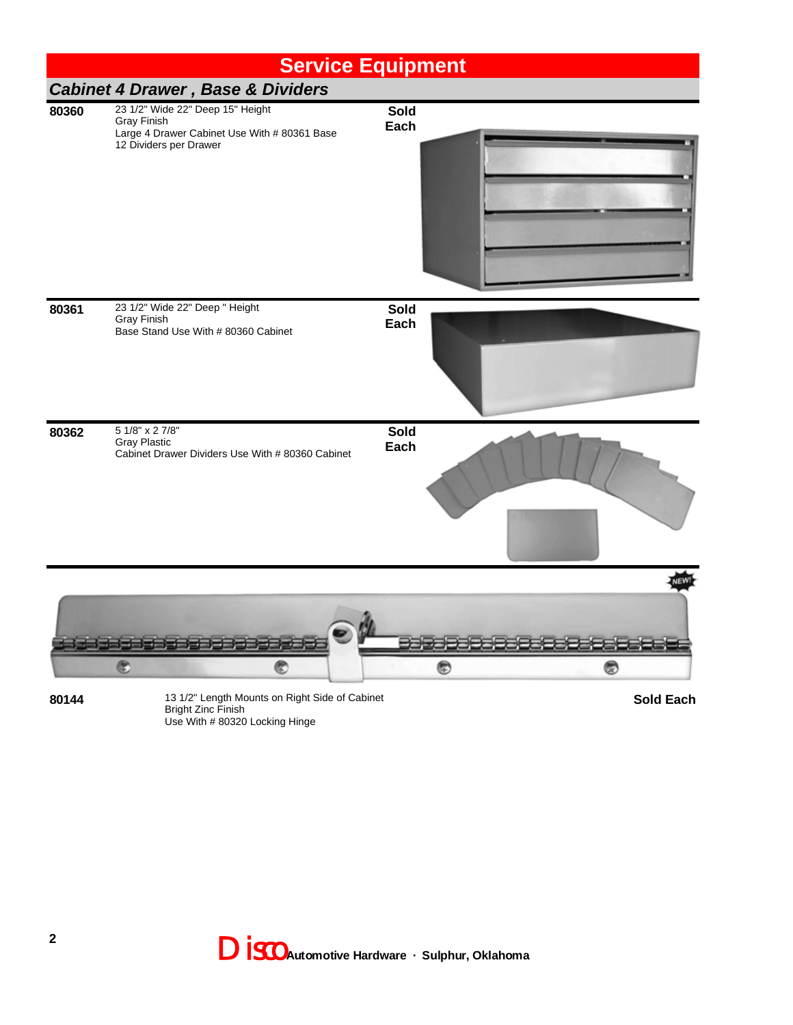

**80144** 13 1/2" Length Mounts on Right Side of Cabinet Bright Zinc Finish Use With # 80320 Locking Hinge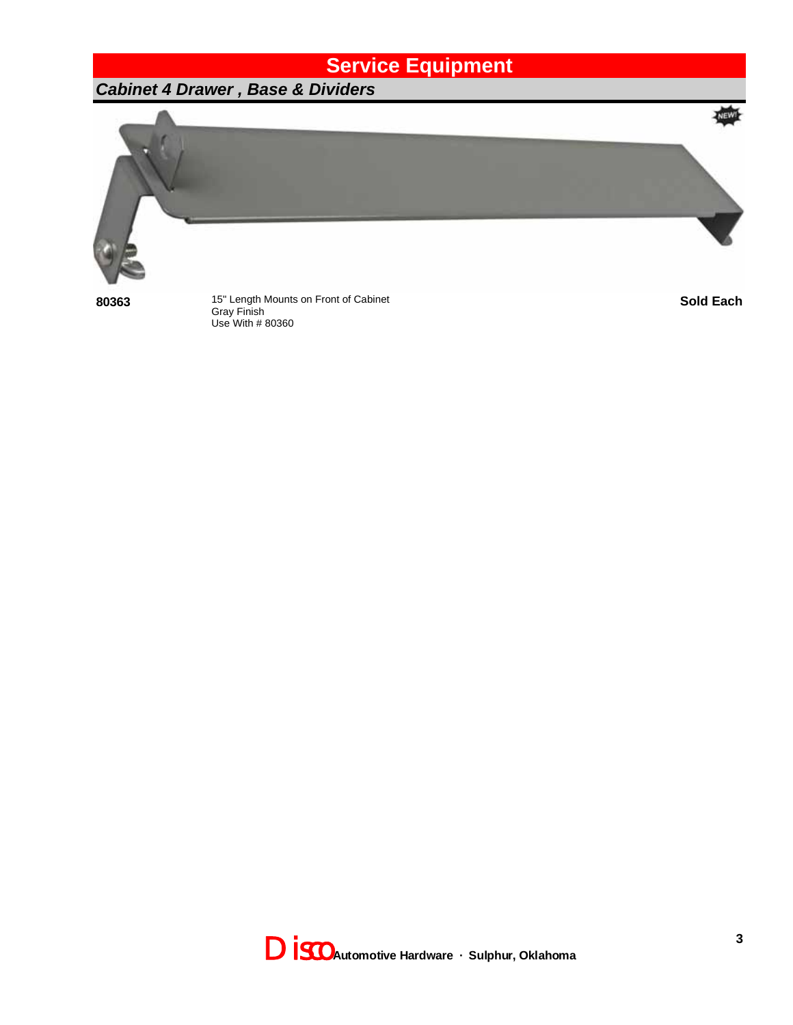#### *Cabinet 4 Drawer , Base & Dividers*



**80363** 15" Length Mounts on Front of Cabinet<br>Gray Finish Use With # 80360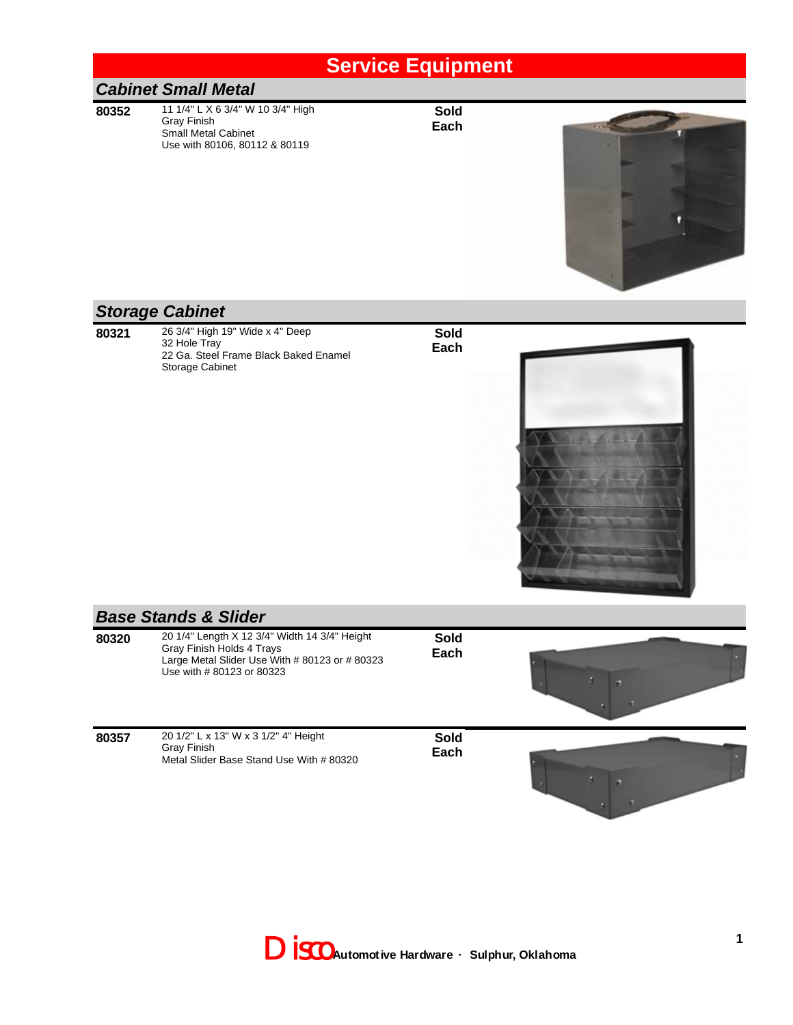#### *Cabinet Small Metal*

**80352** 11 1/4" L X 6 3/4" W 10 3/4" High Gray Finish Small Metal Cabinet Use with 80106, 80112 & 80119

**Sold Each**



#### *Storage Cabinet*

**80321** 26 3/4" High 19" Wide x 4" Deep 32 Hole Tray 22 Ga. Steel Frame Black Baked Enamel Storage Cabinet

**Sold Each**



#### *Base Stands & Slider*

| 80320 | 20 1/4" Length X 12 3/4" Width 14 3/4" Height<br>Gray Finish Holds 4 Trays<br>Large Metal Slider Use With # 80123 or # 80323<br>Use with # 80123 or 80323 | Sold<br>Each |  |
|-------|-----------------------------------------------------------------------------------------------------------------------------------------------------------|--------------|--|
| 80357 | 20 1/2" L x 13" W x 3 1/2" 4" Height<br><b>Gray Finish</b><br>Metal Slider Base Stand Use With # 80320                                                    | Sold<br>Each |  |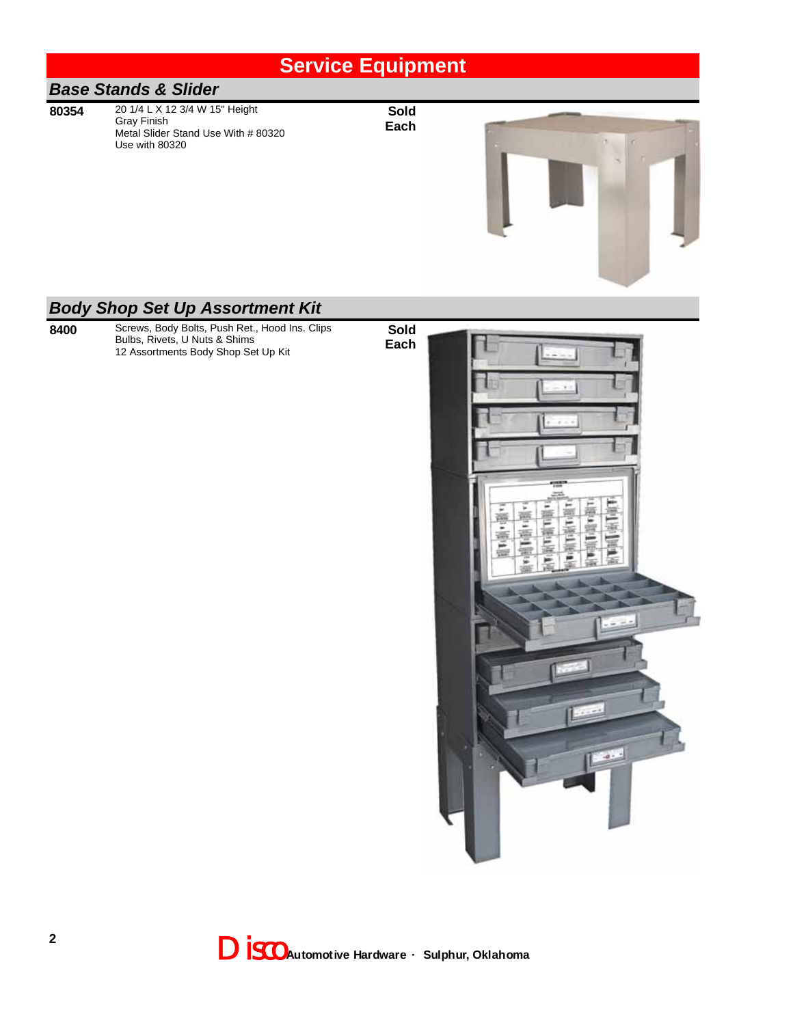# *Base Stands & Slider*

**80354** 20 1/4 L X 12 3/4 W 15" Height Gray Finish Metal Slider Stand Use With # 80320 Use with 80320

**Sold Each**



#### *Body Shop Set Up Assortment Kit*

**8400** Screws, Body Bolts, Push Ret., Hood Ins. Clips Bulbs, Rivets, U Nuts & Shims 12 Assortments Body Shop Set Up Kit

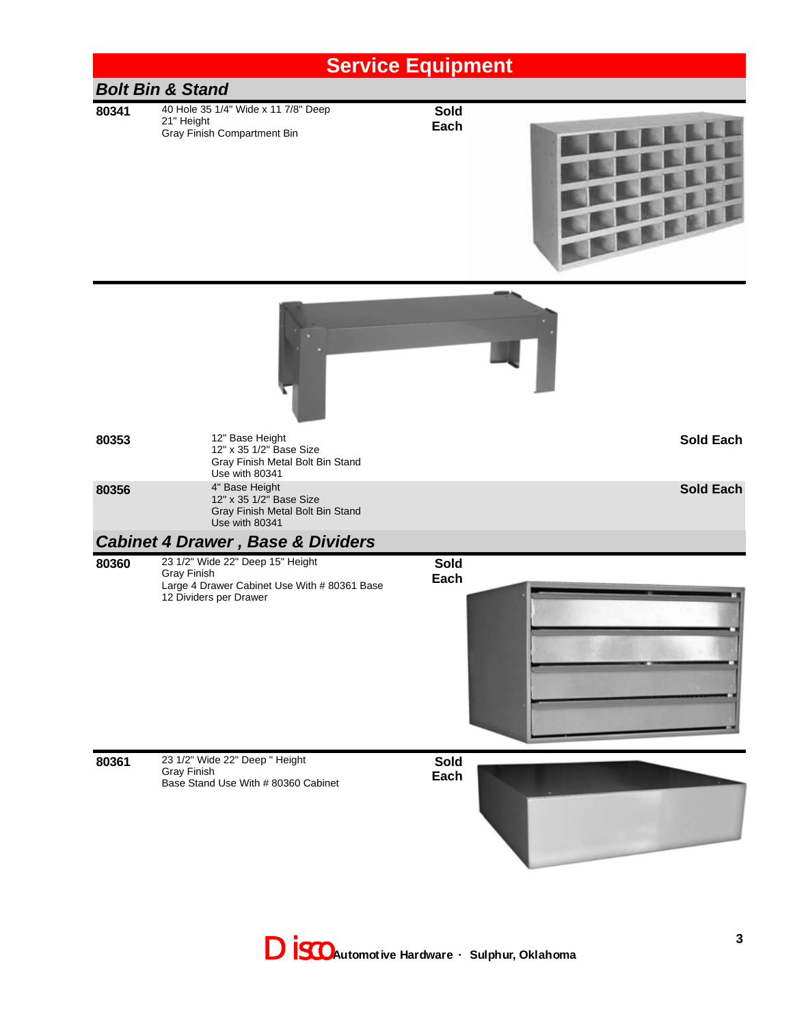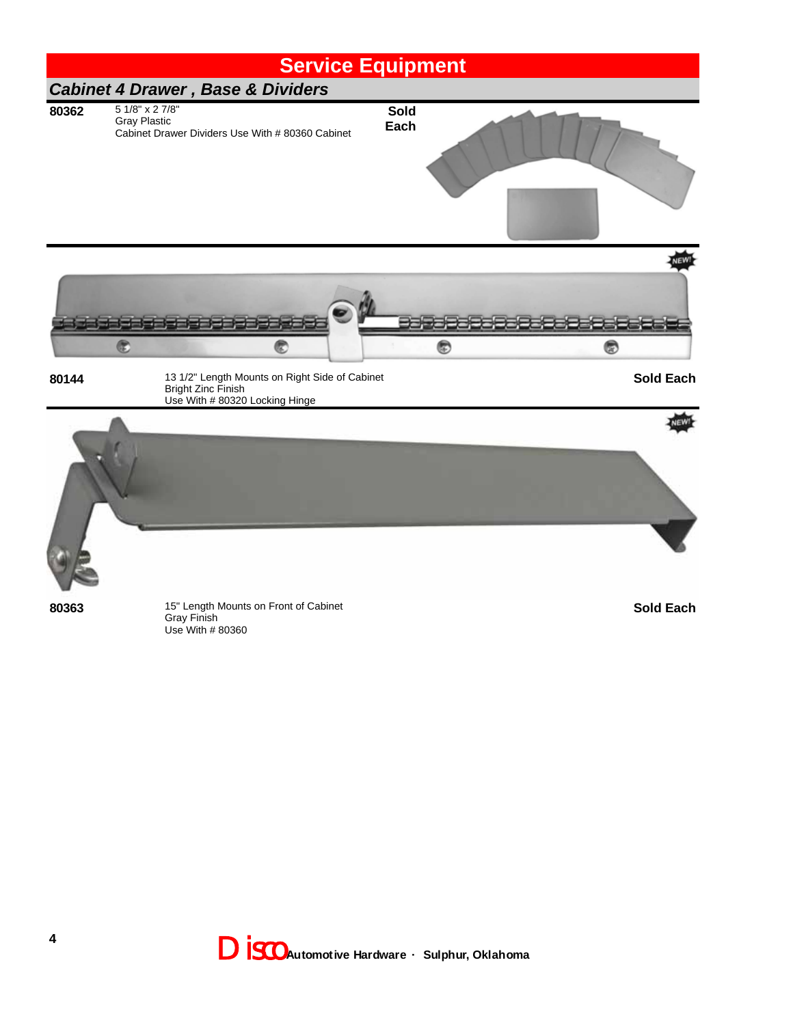

**80363** 15" Length Mounts on Front of Cabinet Gray Finish Use With # 80360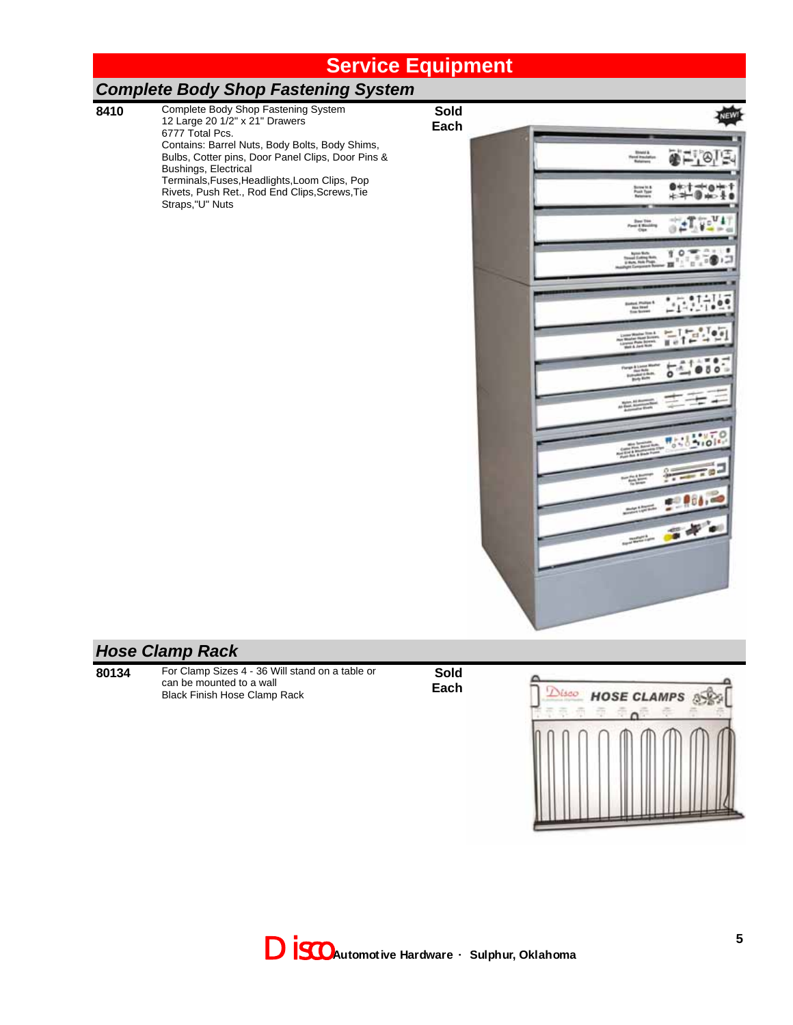**Sold Each**

#### *Complete Body Shop Fastening System*

**8410** Complete Body Shop Fastening System 12 Large 20 1/2" x 21" Drawers 6777 Total Pcs. Contains: Barrel Nuts, Body Bolts, Body Shims, Bulbs, Cotter pins, Door Panel Clips, Door Pins & Bushings, Electrical Terminals,Fuses,Headlights,Loom Clips, Pop Rivets, Push Ret., Rod End Clips,Screws,Tie Straps,"U" Nuts

**Board**<br>Wend Provide ●二,④ Server to 8<br>Pont Type<br>Resumes Hю U1 **Base Tries**<br>Pauli & Monda 土耳り á  $\mathbf{1}$  o and tells<br>Panel Search<br>Palm and ٨ **STATISTICS** Select Philips &<br>The Seat Fire: **Contract Profit Prof**  $5 - 000$ ÷ ....  $\frac{1}{2}$ 瓶 -55  $\frac{1}{2} \left( \frac{1}{2} \right)^{2} \left( \frac{1}{2} \right)^{2} \left( \frac{1}{2} \right)^{2}$  $\begin{array}{c} \mathcal{L}_{\mathcal{M}}(\mathcal{M}_{\mathcal{M}}) \\ \mathcal{L}_{\mathcal{M}}(\mathcal{M}_{\mathcal{M}}) \end{array}$ 

#### *Hose Clamp Rack*

**80134** For Clamp Sizes 4 - 36 Will stand on a table or can be mounted to a wall Black Finish Hose Clamp Rack

**Sold Each**

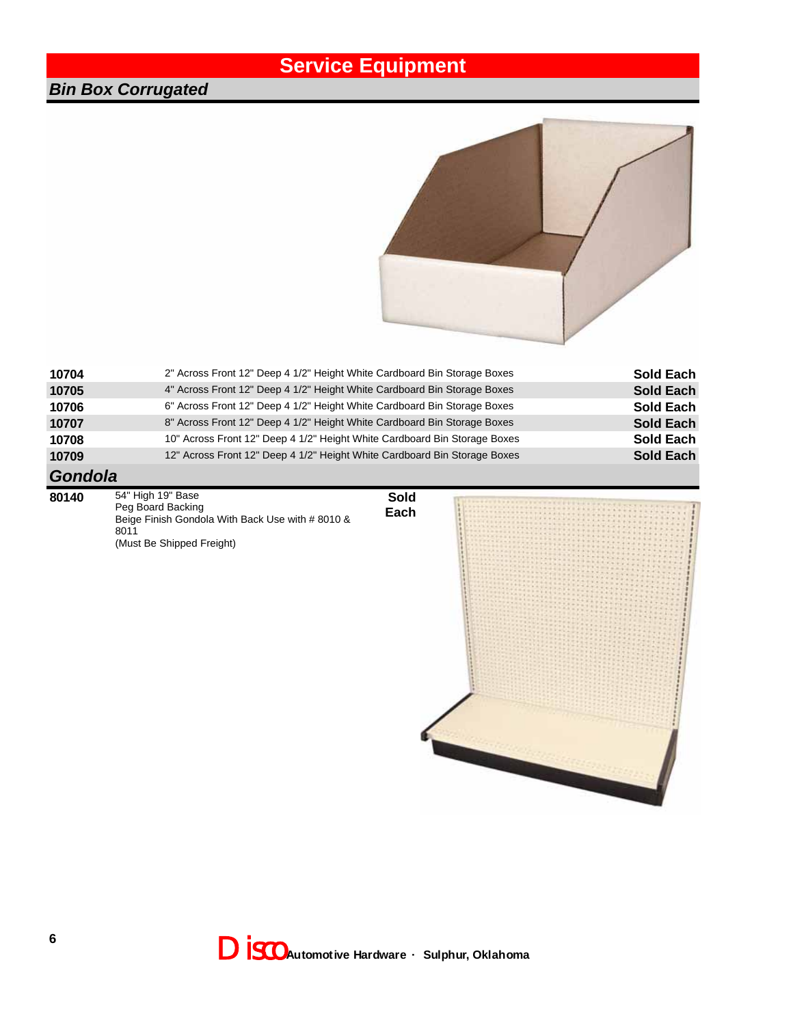#### *Bin Box Corrugated*



| 10704                                   | 2" Across Front 12" Deep 4 1/2" Height White Cardboard Bin Storage Boxes  | Sold Each |
|-----------------------------------------|---------------------------------------------------------------------------|-----------|
| 10705                                   | 4" Across Front 12" Deep 4 1/2" Height White Cardboard Bin Storage Boxes  | Sold Each |
| 10706                                   | 6" Across Front 12" Deep 4 1/2" Height White Cardboard Bin Storage Boxes  | Sold Each |
| 10707                                   | 8" Across Front 12" Deep 4 1/2" Height White Cardboard Bin Storage Boxes  | Sold Each |
| 10708                                   | 10" Across Front 12" Deep 4 1/2" Height White Cardboard Bin Storage Boxes | Sold Each |
| 10709                                   | 12" Across Front 12" Deep 4 1/2" Height White Cardboard Bin Storage Boxes | Sold Each |
| $\bigcap$ $\bigcap$ $\bigcap$ $\bigcap$ |                                                                           |           |

**Sold Each**

#### *Gondola*

**80140** 54" High 19" Base Peg Board Backing Beige Finish Gondola With Back Use with # 8010 & 8011 (Must Be Shipped Freight)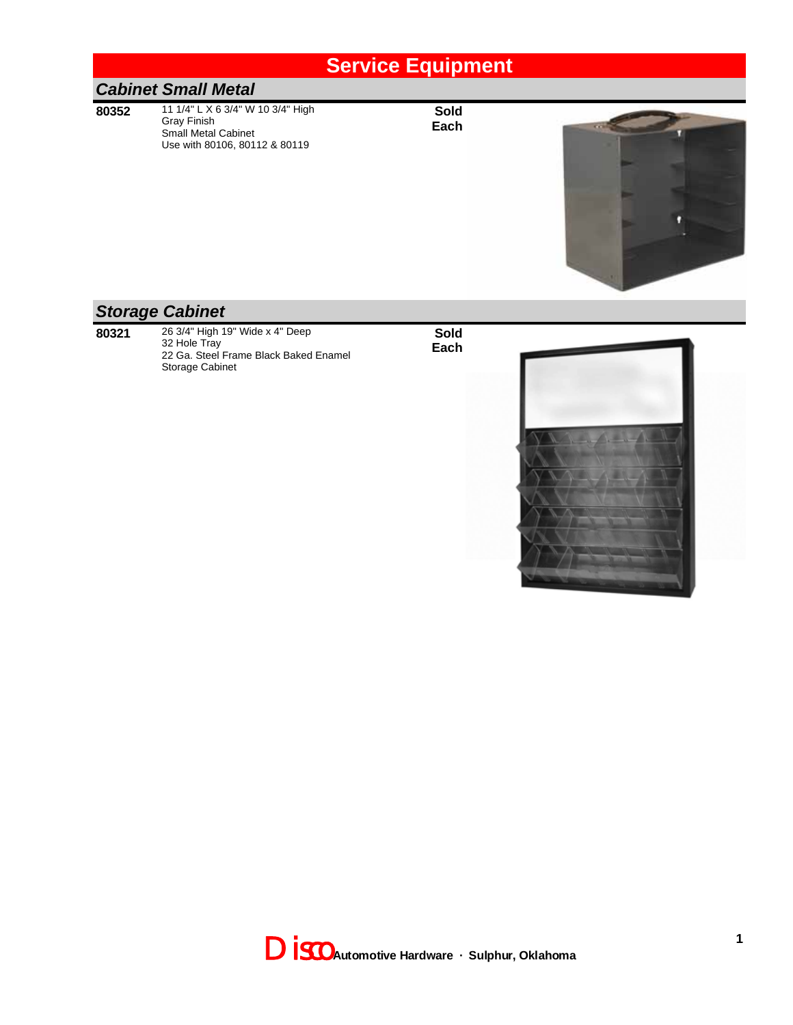#### *Cabinet Small Metal*

**80352** 11 1/4" L X 6 3/4" W 10 3/4" High Gray Finish Small Metal Cabinet Use with 80106, 80112 & 80119

**Sold Each**



#### *Storage Cabinet*

**80321** 26 3/4" High 19" Wide x 4" Deep 32 Hole Tray 22 Ga. Steel Frame Black Baked Enamel Storage Cabinet



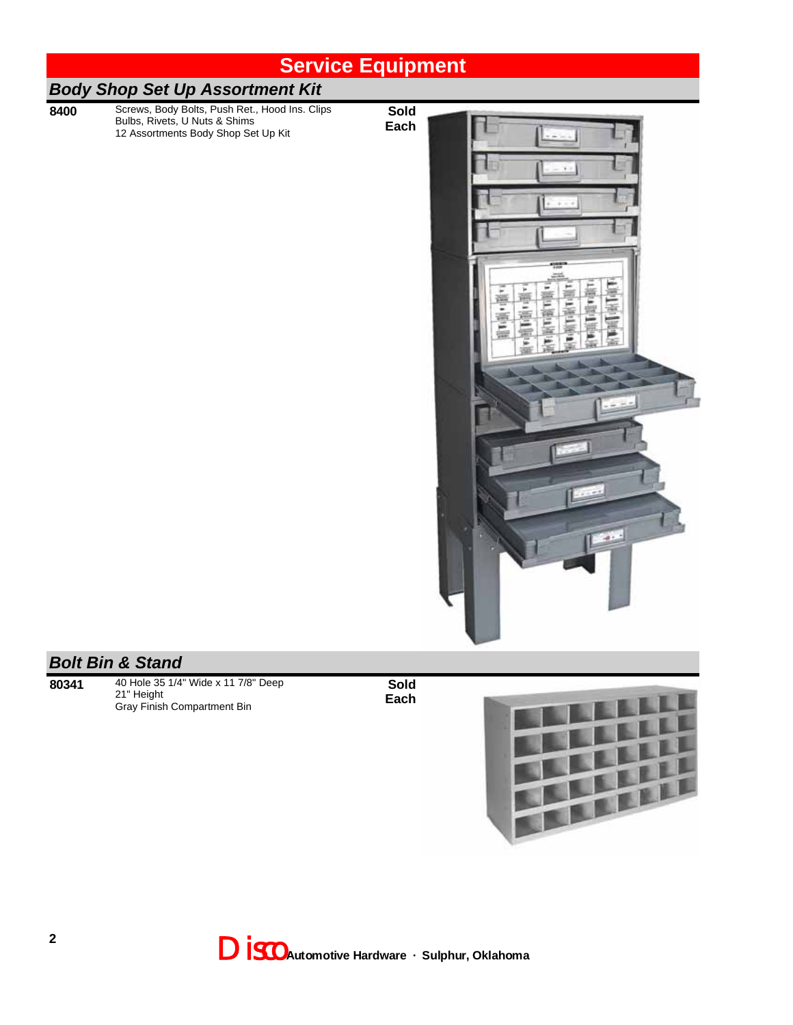|      | <b>Service Equipment</b>                                                                                                                              |                     |  |
|------|-------------------------------------------------------------------------------------------------------------------------------------------------------|---------------------|--|
|      | <b>Body Shop Set Up Assortment Kit</b>                                                                                                                |                     |  |
| 8400 | Screws, Body Bolts, Push Ret., Hood Ins. Clips<br>Bulbs, Rivets, U Nuts & Shims<br>12 Assortments Body Shop Set Up Kit<br><b>Bolt Bin &amp; Stand</b> | <b>Sold</b><br>Each |  |
|      |                                                                                                                                                       |                     |  |

**80341** 40 Hole 35 1/4" Wide x 11 7/8" Deep 21" Height Gray Finish Compartment Bin



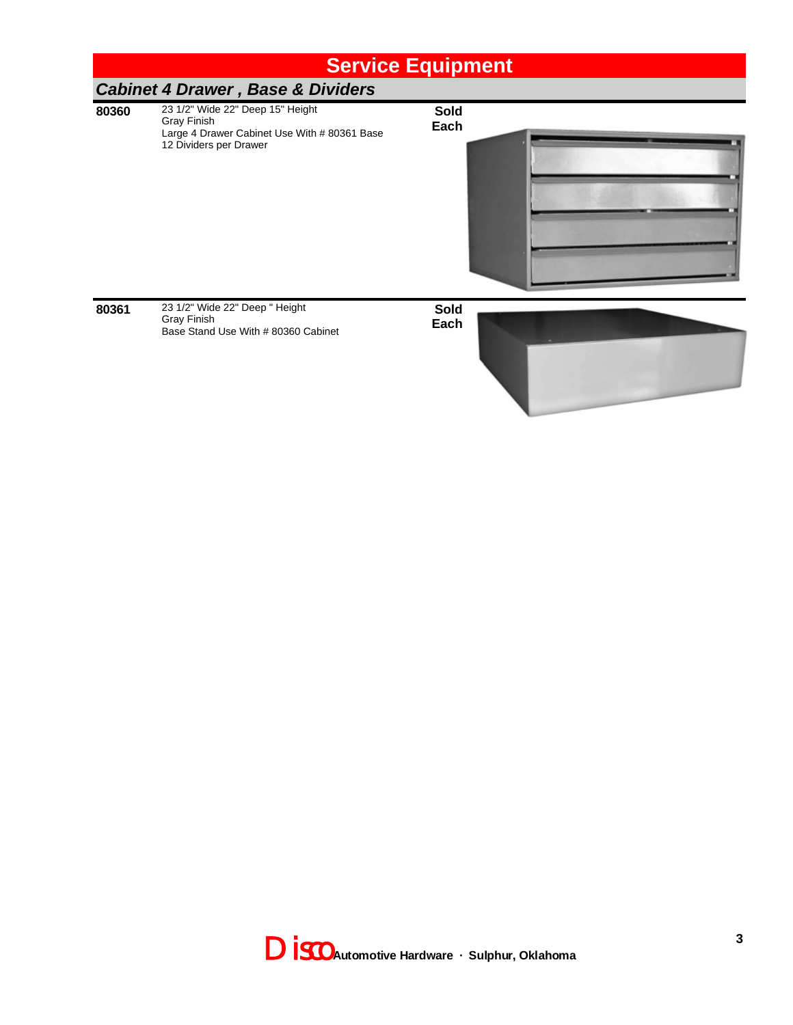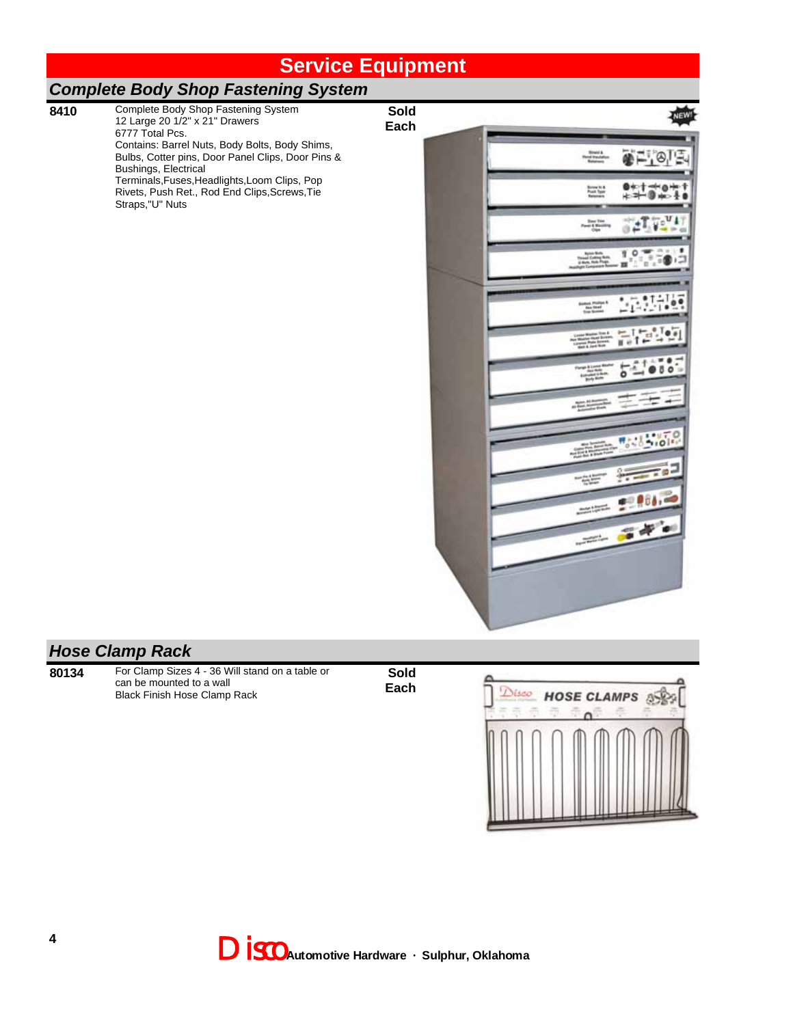**Sold Each**

#### *Complete Body Shop Fastening System*

**8410** Complete Body Shop Fastening System 12 Large 20 1/2" x 21" Drawers 6777 Total Pcs. Contains: Barrel Nuts, Body Bolts, Body Shims, Bulbs, Cotter pins, Door Panel Clips, Door Pins & Bushings, Electrical Terminals,Fuses,Headlights,Loom Clips, Pop Rivets, Push Ret., Rod End Clips,Screws,Tie Straps,"U" Nuts

**Branch**<br>Wang Practat 좋드, 이다 Screen to 4<br>Post Type HS. U1  $\frac{1}{2}$  $\frac{3}{2} \frac{1}{1000} \frac{3}{5} \frac{3}{1000}$ 10 × bruti **Sindical Photo**<br>This Street<br>Thus Score 'n u e  $-1$  $000$ ೯೬ 즢 aggester.  $101$ 4N -55 P O S  $\frac{1}{2} \left( \frac{1}{2} \right)^{\frac{1}{2}} \left( \frac{1}{2} \right)^{\frac{1}{2}} \left( \frac{1}{2} \right)^{\frac{1}{2}} \left( \frac{1}{2} \right)^{\frac{1}{2}} \left( \frac{1}{2} \right)^{\frac{1}{2}} \left( \frac{1}{2} \right)^{\frac{1}{2}} \left( \frac{1}{2} \right)^{\frac{1}{2}} \left( \frac{1}{2} \right)^{\frac{1}{2}} \left( \frac{1}{2} \right)^{\frac{1}{2}} \left( \frac{1}{2} \right)^{\frac{1}{2}} \left( \frac{1}{2} \right)^$  $\frac{1}{\sqrt{2}}\frac{\partial^2}{\partial x^2}+\frac{1}{2}\frac{\partial^2}{\partial x^2}+\frac{1}{2}\frac{\partial^2}{\partial x^2}+\frac{1}{2}\frac{\partial^2}{\partial x^2}+\frac{1}{2}\frac{\partial^2}{\partial x^2}+\frac{1}{2}\frac{\partial^2}{\partial x^2}+\frac{1}{2}\frac{\partial^2}{\partial x^2}+\frac{1}{2}\frac{\partial^2}{\partial x^2}+\frac{1}{2}\frac{\partial^2}{\partial x^2}+\frac{1}{2}\frac{\partial^2}{\partial x^2}+\frac{1}{2}\frac{\partial^2}{\partial x^2}+\frac{1}{2}\$ 

#### *Hose Clamp Rack*

**80134** For Clamp Sizes 4 - 36 Will stand on a table or can be mounted to a wall Black Finish Hose Clamp Rack



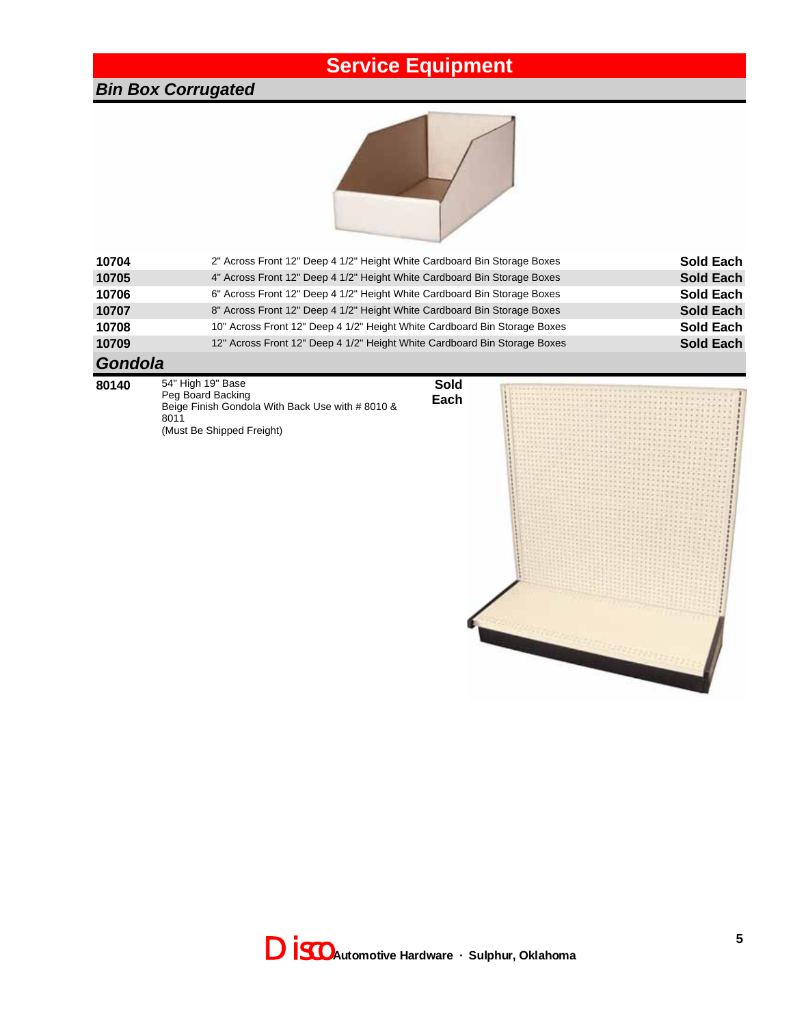#### *Bin Box Corrugated*



| 10704   | 2" Across Front 12" Deep 4 1/2" Height White Cardboard Bin Storage Boxes  | <b>Sold Each</b> |
|---------|---------------------------------------------------------------------------|------------------|
| 10705   | 4" Across Front 12" Deep 4 1/2" Height White Cardboard Bin Storage Boxes  | <b>Sold Each</b> |
| 10706   | 6" Across Front 12" Deep 4 1/2" Height White Cardboard Bin Storage Boxes  | <b>Sold Each</b> |
| 10707   | 8" Across Front 12" Deep 4 1/2" Height White Cardboard Bin Storage Boxes  | <b>Sold Each</b> |
| 10708   | 10" Across Front 12" Deep 4 1/2" Height White Cardboard Bin Storage Boxes | <b>Sold Each</b> |
| 10709   | 12" Across Front 12" Deep 4 1/2" Height White Cardboard Bin Storage Boxes | <b>Sold Each</b> |
| $O - 4$ |                                                                           |                  |

#### *Gondola*

- **80140** 54" High 19" Base Peg Board Backing Beige Finish Gondola With Back Use with # 8010 & 8011 (Must Be Shipped Freight)
- **Sold Each**



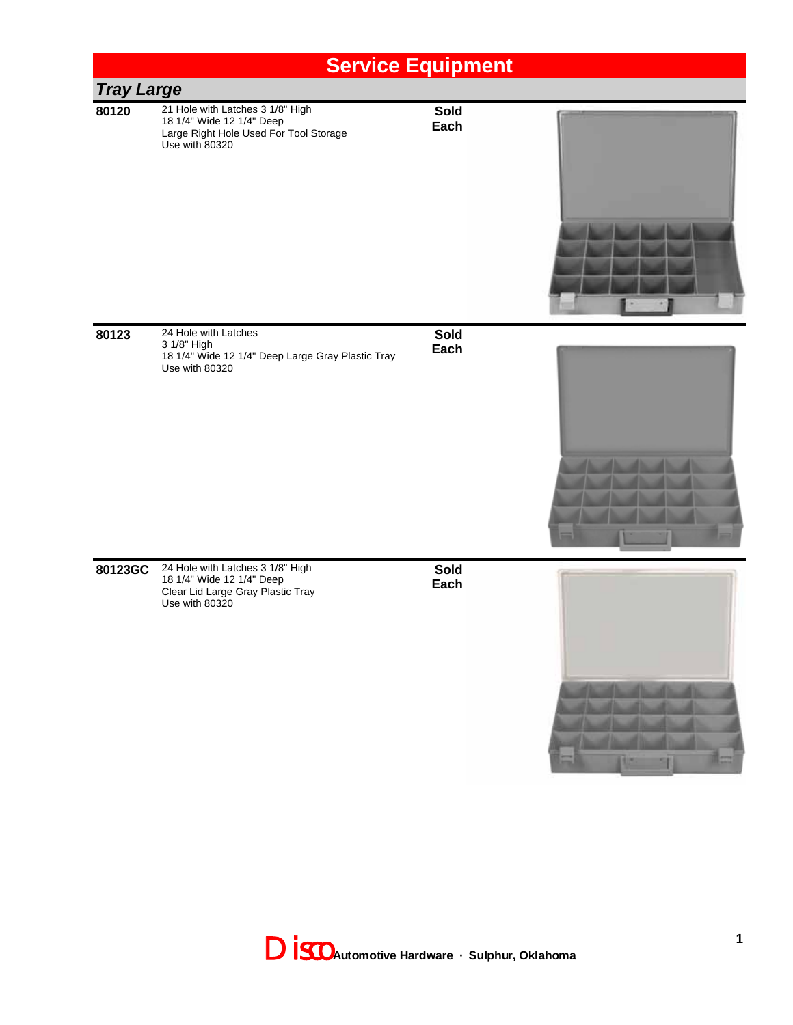

**80123** 24 Hole with Latches 3 1/8" High 18 1/4" Wide 12 1/4" Deep Large Gray Plastic Tray Use with 80320

**Sold Each**



**80123GC** 24 Hole with Latches 3 1/8" High 18 1/4" Wide 12 1/4" Deep Clear Lid Large Gray Plastic Tray Use with 80320

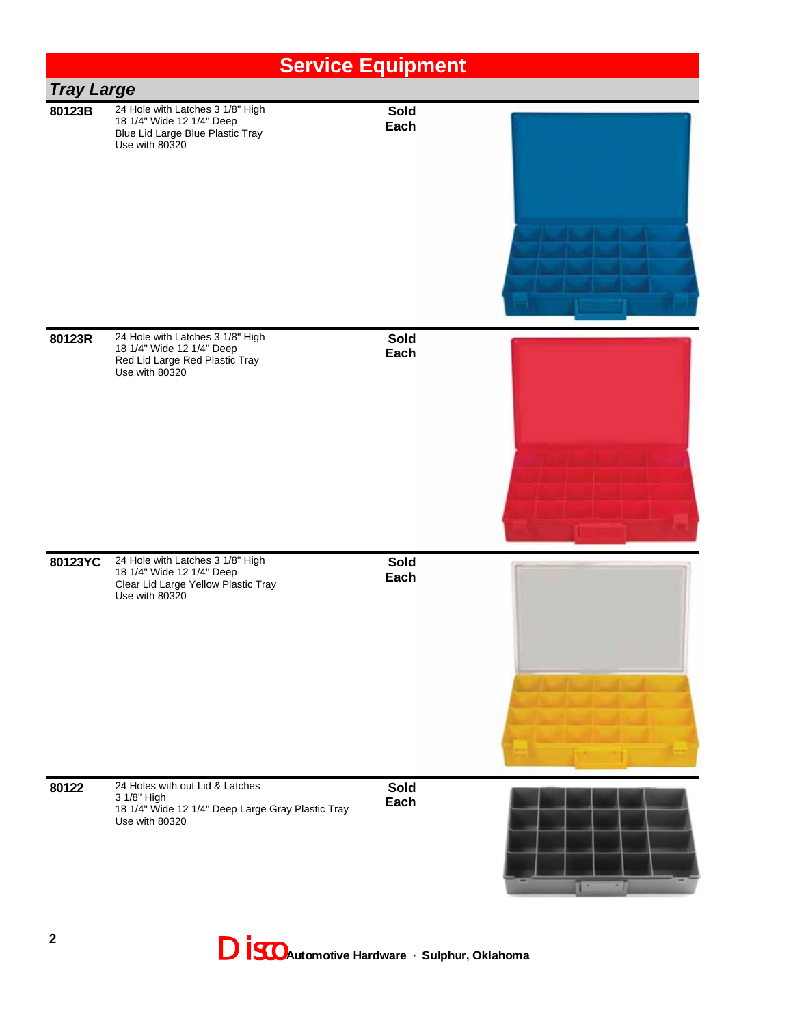|                   |                                                                                                                        | <b>Service Equipment</b> |  |
|-------------------|------------------------------------------------------------------------------------------------------------------------|--------------------------|--|
| <b>Tray Large</b> |                                                                                                                        |                          |  |
| 80123B            | 24 Hole with Latches 3 1/8" High<br>18 1/4" Wide 12 1/4" Deep<br>Blue Lid Large Blue Plastic Tray<br>Use with 80320    | Sold<br>Each             |  |
| 80123R            | 24 Hole with Latches 3 1/8" High<br>18 1/4" Wide 12 1/4" Deep<br>Red Lid Large Red Plastic Tray<br>Use with 80320      | <b>Sold</b><br>Each      |  |
| 80123YC           | 24 Hole with Latches 3 1/8" High<br>18 1/4" Wide 12 1/4" Deep<br>Clear Lid Large Yellow Plastic Tray<br>Use with 80320 | <b>Sold</b><br>Each      |  |
| 80122             | 24 Holes with out Lid & Latches<br>3 1/8" High<br>18 1/4" Wide 12 1/4" Deep Large Gray Plastic Tray<br>Use with 80320  | Sold<br>Each             |  |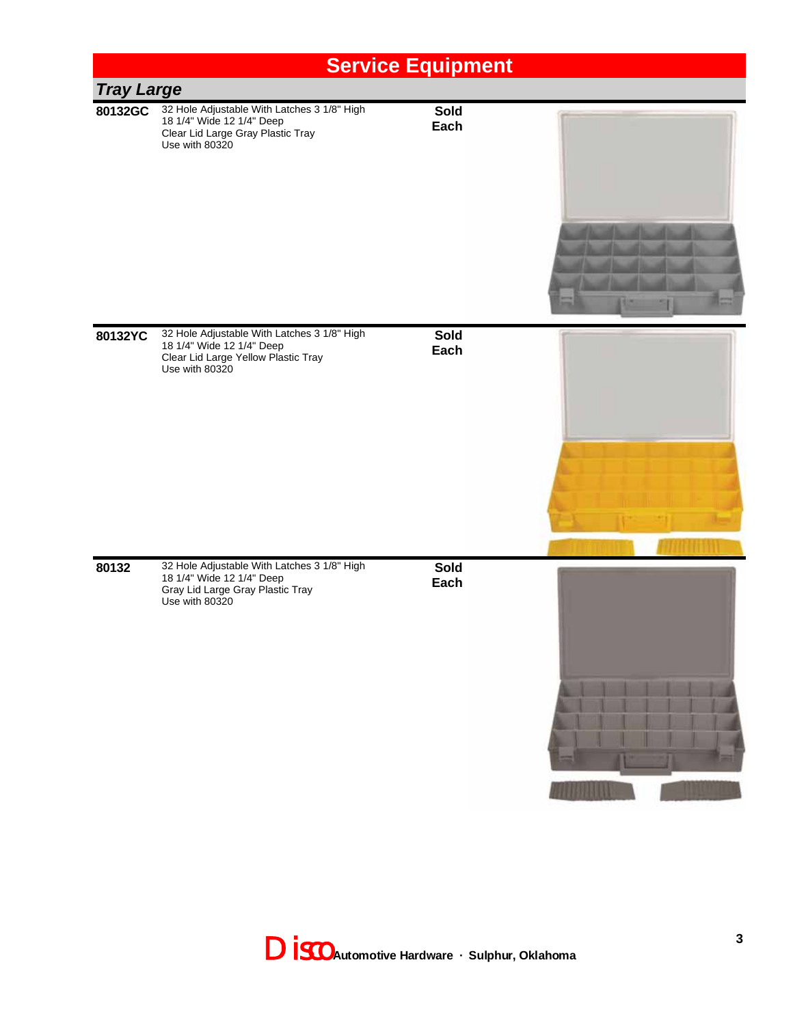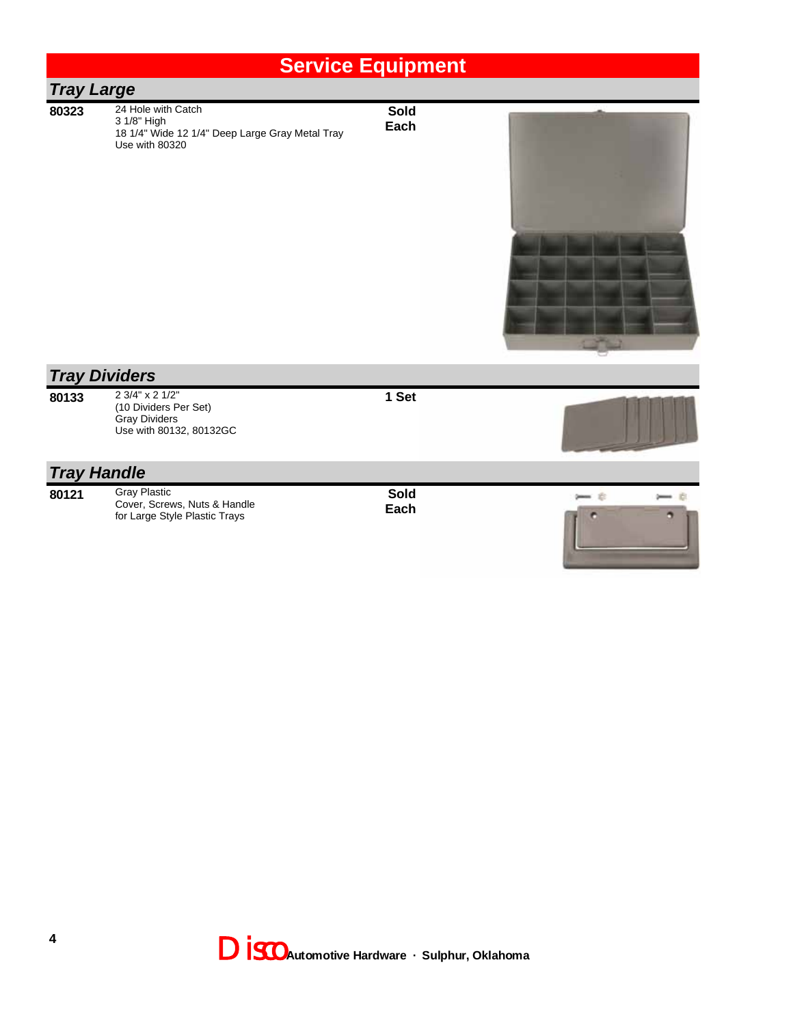| 24 Hole with Catch<br>3 1/8" High<br>18 1/4" Wide 12 1/4" Deep Large Gray Metal Tray<br>Use with 80320 | Sold<br>Each      |  |
|--------------------------------------------------------------------------------------------------------|-------------------|--|
|                                                                                                        | <b>Tray Large</b> |  |



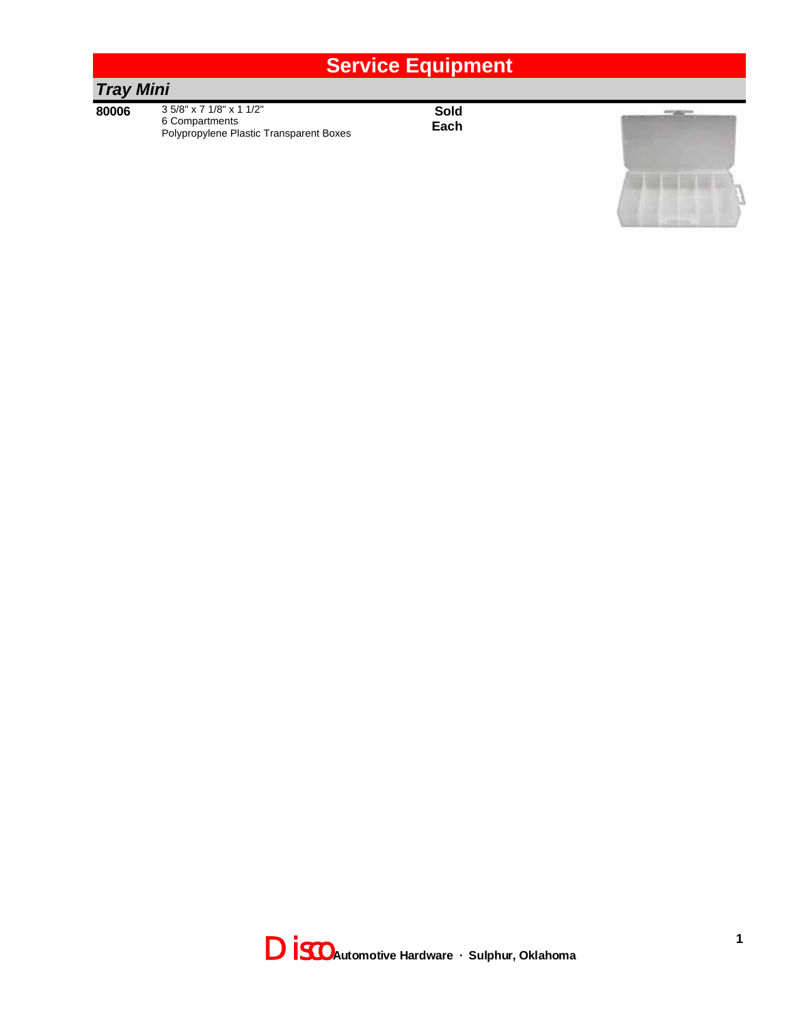#### *Tray Mini*

**80006** 3 5/8" x 7 1/8" x 1 1/2" 6 Compartments Polypropylene Plastic Transparent Boxes



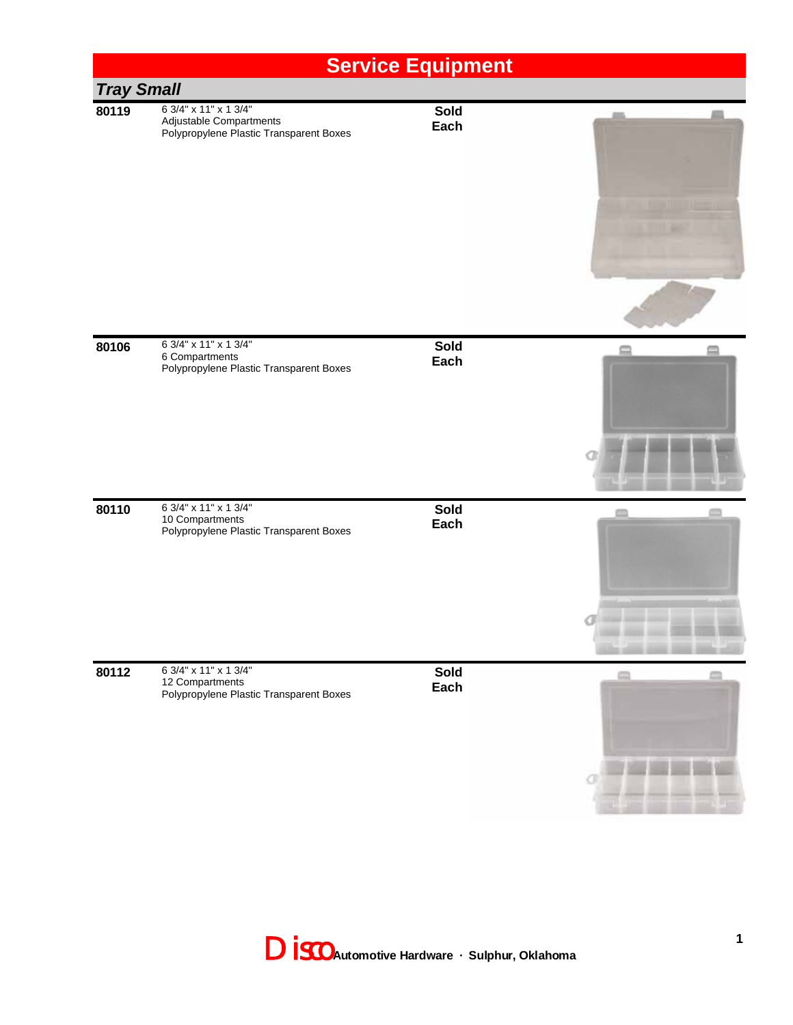### **Service Equipment** *Tray Small* **80119** 6 3/4" x 11" x 1 3/4" **Sold** Adjustable Compartments **Each** Polypropylene Plastic Transparent Boxes **80106** 6 3/4" x 11" x 1 3/4" **Sold**  $\equiv$ 6 Compartments **Each** Polypropylene Plastic Transparent Boxes **80110** 6 3/4" x 11" x 1 3/4" **Sold**  $\equiv$ m 10 Compartments **Each** Polypropylene Plastic Transparent Boxes a **80112** 6 3/4" x 11" x 1 3/4" **Sold** em 12 Compartments **Each** Polypropylene Plastic Transparent Boxes